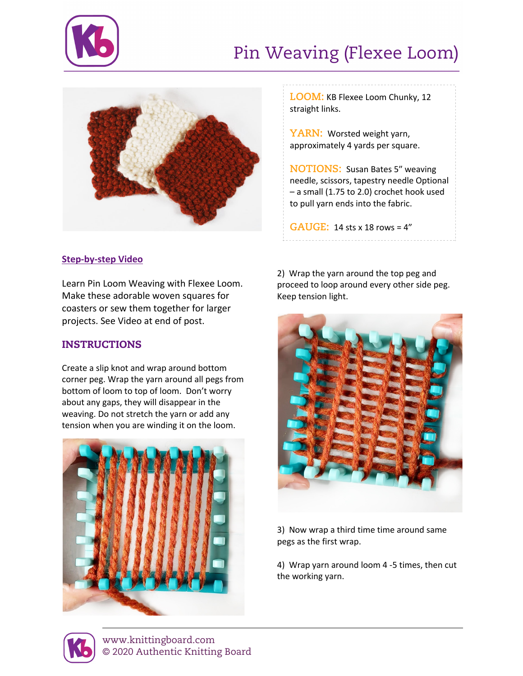

## Pin Weaving (Flexee Loom)



## **[Step-by-step Video](https://www.knittingboard.com/pin-loom-weaving-on-flexee-loom/)**

Learn Pin Loom Weaving with Flexee Loom. Make these adorable woven squares for coasters or sew them together for larger projects. See Video at end of post.

## INSTRUCTIONS

Create a slip knot and wrap around bottom corner peg. Wrap the yarn around all pegs from bottom of loom to top of loom. Don't worry about any gaps, they will disappear in the weaving. Do not stretch the yarn or add any tension when you are winding it on the loom.



**LOOM:** KB Flexee Loom Chunky, 12 straight links.

**YARN:** Worsted weight yarn, approximately 4 yards per square.

**NOTIONS:** Susan Bates 5" weaving needle, scissors, tapestry needle Optional – a small (1.75 to 2.0) crochet hook used to pull yarn ends into the fabric.

**GAUGE:** 14 sts x 18 rows = 4"

2) Wrap the yarn around the top peg and proceed to loop around every other side peg. Keep tension light.



3) Now wrap a third time time around same pegs as the first wrap.

4) Wrap yarn around loom 4 -5 times, then cut the working yarn.